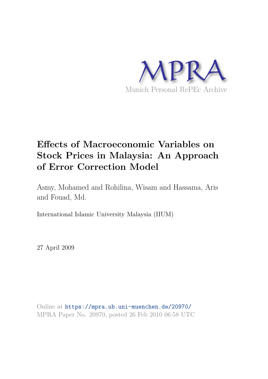

# **Effects of Macroeconomic Variables on Stock Prices in Malaysia: An Approach of Error Correction Model**

Asmy, Mohamed and Rohilina, Wisam and Hassama, Aris and Fouad, Md.

International Islamic University Malaysia (IIUM)

27 April 2009

Online at https://mpra.ub.uni-muenchen.de/20970/ MPRA Paper No. 20970, posted 26 Feb 2010 06:58 UTC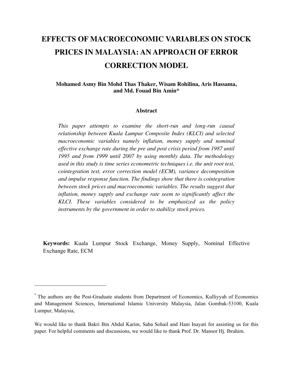# **EFFECTS OF MACROECONOMIC VARIABLES ON STOCK PRICES IN MALAYSIA: AN APPROACH OF ERROR CORRECTION MODEL**

## **Mohamed Asmy Bin Mohd Thas Thaker, Wisam Rohilina, Aris Hassama, and Md. Fouad Bin Amin\***

#### **Abstract**

*This paper attempts to examine the short-run and long-run causal relationship between Kuala Lumpur Composite Index (KLCI) and selected macroeconomic variables namely inflation, money supply and nominal effective exchange rate during the pre and post crisis period from 1987 until 1995 and from 1999 until 2007 by using monthly data. The methodology used in this study is time series econometric techniques i.e. the unit root test, cointegration test, error correction model (ECM), variance decomposition and impulse response function. The findings show that there is cointegration between stock prices and macroeconomic variables. The results suggest that inflation, money supply and exchange rate seem to significantly affect the KLCI. These variables considered to be emphasized as the policy instruments by the government in order to stabilize stock prices.* 

**Keywords:** Kuala Lumpur Stock Exchange, Money Supply, Nominal Effective Exchange Rate, ECM

 $\overline{\phantom{a}}$  , which is a set of the set of the set of the set of the set of the set of the set of the set of the set of the set of the set of the set of the set of the set of the set of the set of the set of the set of th

<sup>\*</sup> The authors are the Post-Graduate students from Department of Economics, Kulliyyah of Economics and Management Sciences, International Islamic University Malaysia, Jalan Gombak-53100, Kuala Lumpur, Malaysia,

We would like to thank Bakri Bin Abdul Karim, Saba Sohail and Hani Inayati for assisting us for this paper. For helpful comments and discussions, we would like to thank Prof. Dr. Mansor Hj. Ibrahim.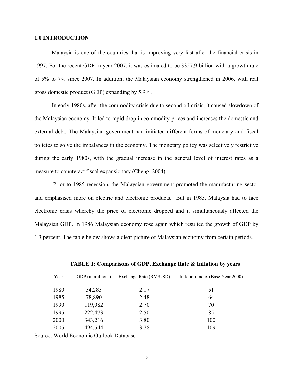#### **1.0 INTRODUCTION**

Malaysia is one of the countries that is improving very fast after the financial crisis in 1997. For the recent GDP in year 2007, it was estimated to be \$357.9 billion with a growth rate of 5% to 7% since 2007. In addition, the Malaysian economy strengthened in 2006, with real gross domestic product (GDP) expanding by 5.9%.

In early 1980s, after the commodity crisis due to second oil crisis, it caused slowdown of the Malaysian economy. It led to rapid drop in commodity prices and increases the domestic and external debt. The Malaysian government had initiated different forms of monetary and fiscal policies to solve the imbalances in the economy. The monetary policy was selectively restrictive during the early 1980s, with the gradual increase in the general level of interest rates as a measure to counteract fiscal expansionary (Cheng, 2004).

 Prior to 1985 recession, the Malaysian government promoted the manufacturing sector and emphasised more on electric and electronic products. But in 1985, Malaysia had to face electronic crisis whereby the price of electronic dropped and it simultaneously affected the Malaysian GDP. In 1986 Malaysian economy rose again which resulted the growth of GDP by 1.3 percent. The table below shows a clear picture of Malaysian economy from certain periods.

| Year | GDP (in millions) | Exchange Rate (RM/USD) | Inflation Index (Base Year 2000) |
|------|-------------------|------------------------|----------------------------------|
| 1980 | 54,285            | 2.17                   | 51                               |
| 1985 | 78,890            | 2.48                   | 64                               |
| 1990 | 119,082           | 2.70                   | 70                               |
| 1995 | 222,473           | 2.50                   | 85                               |
| 2000 | 343,216           | 3.80                   | 100                              |
| 2005 | 494,544           | 3.78                   | 109                              |

**TABLE 1: Comparisons of GDP, Exchange Rate & Inflation by years** 

Source: World Economic Outlook Database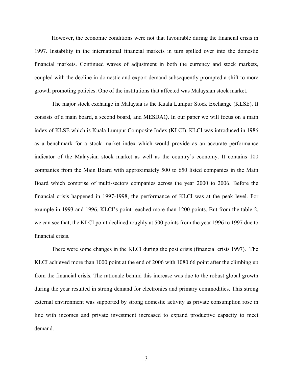However, the economic conditions were not that favourable during the financial crisis in 1997. Instability in the international financial markets in turn spilled over into the domestic financial markets. Continued waves of adjustment in both the currency and stock markets, coupled with the decline in domestic and export demand subsequently prompted a shift to more growth promoting policies. One of the institutions that affected was Malaysian stock market.

The major stock exchange in Malaysia is the Kuala Lumpur Stock Exchange (KLSE). It consists of a main board, a second board, and MESDAQ. In our paper we will focus on a main index of KLSE which is Kuala Lumpur Composite Index (KLCI). KLCI was introduced in 1986 as a benchmark for a stock market index which would provide as an accurate performance indicator of the Malaysian stock market as well as the country's economy. It contains 100 companies from the Main Board with approximately 500 to 650 listed companies in the Main Board which comprise of multi-sectors companies across the year 2000 to 2006. Before the financial crisis happened in 1997-1998, the performance of KLCI was at the peak level. For example in 1993 and 1996, KLCI's point reached more than 1200 points. But from the table 2, we can see that, the KLCI point declined roughly at 500 points from the year 1996 to 1997 due to financial crisis.

There were some changes in the KLCI during the post crisis (financial crisis 1997). The KLCI achieved more than 1000 point at the end of 2006 with 1080.66 point after the climbing up from the financial crisis. The rationale behind this increase was due to the robust global growth during the year resulted in strong demand for electronics and primary commodities. This strong external environment was supported by strong domestic activity as private consumption rose in line with incomes and private investment increased to expand productive capacity to meet demand.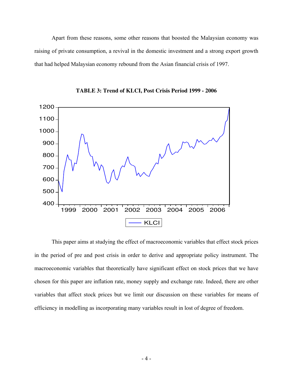Apart from these reasons, some other reasons that boosted the Malaysian economy was raising of private consumption, a revival in the domestic investment and a strong export growth that had helped Malaysian economy rebound from the Asian financial crisis of 1997.



**TABLE 3: Trend of KLCI, Post Crisis Period 1999 - 2006** 

 This paper aims at studying the effect of macroeconomic variables that effect stock prices in the period of pre and post crisis in order to derive and appropriate policy instrument. The macroeconomic variables that theoretically have significant effect on stock prices that we have chosen for this paper are inflation rate, money supply and exchange rate. Indeed, there are other variables that affect stock prices but we limit our discussion on these variables for means of efficiency in modelling as incorporating many variables result in lost of degree of freedom.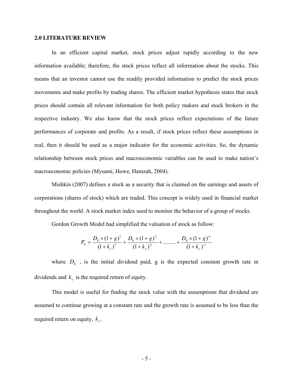#### **2.0 LITERATURE REVIEW**

In an efficient capital market, stock prices adjust rapidly according to the new information available; therefore, the stock prices reflect all information about the stocks. This means that an investor cannot use the readily provided information to predict the stock prices movements and make profits by trading shares. The efficient market hypothesis states that stock prices should contain all relevant information for both policy makers and stock brokers in the respective industry. We also know that the stock prices reflect expectations of the future performances of corporate and profits. As a result, if stock prices reflect these assumptions in real, then it should be used as a major indicator for the economic activities. So, the dynamic relationship between stock prices and macroeconomic variables can be used to make nation's macroeconomic policies (Mysami, Howe, Hamzah, 2004).

Mishkin (2007) defines a stock as a security that is claimed on the earnings and assets of corporations (shares of stock) which are traded. This concept is widely used in financial market throughout the world. A stock market index used to monitor the behavior of a group of stocks.

Gordon Growth Model had simplified the valuation of stock as follow:

$$
P_0 = \frac{D_0 \times (1+g)^1}{(1+k_e)^1} + \frac{D_0 \times (1+g)^2}{(1+k_e)^2} + \dots + \frac{D_0 \times (1+g)^{\infty}}{(1+k_e)^{\infty}}
$$

where  $D_0$ , is the initial dividend paid, g is the expected constant growth rate in dividends and  $k_e$  is the required return of equity.

 This model is useful for finding the stock value with the assumptions that dividend are assumed to continue growing at a constant rate and the growth rate is assumed to be less than the required return on equity,  $k_e$ .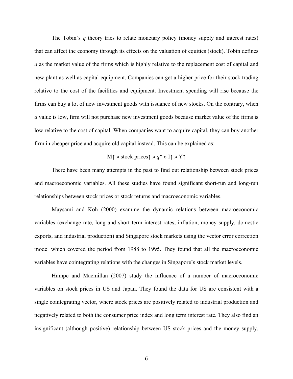The Tobin's *q* theory tries to relate monetary policy (money supply and interest rates) that can affect the economy through its effects on the valuation of equities (stock). Tobin defines *q* as the market value of the firms which is highly relative to the replacement cost of capital and new plant as well as capital equipment. Companies can get a higher price for their stock trading relative to the cost of the facilities and equipment. Investment spending will rise because the firms can buy a lot of new investment goods with issuance of new stocks. On the contrary, when *q* value is low, firm will not purchase new investment goods because market value of the firms is low relative to the cost of capital. When companies want to acquire capital, they can buy another firm in cheaper price and acquire old capital instead. This can be explained as:

### M↑ » stock prices↑ » *q*↑ » I↑ » Y↑

There have been many attempts in the past to find out relationship between stock prices and macroeconomic variables. All these studies have found significant short-run and long-run relationships between stock prices or stock returns and macroeconomic variables.

Maysami and Koh (2000) examine the dynamic relations between macroeconomic variables (exchange rate, long and short term interest rates, inflation, money supply, domestic exports, and industrial production) and Singapore stock markets using the vector error correction model which covered the period from 1988 to 1995. They found that all the macroeconomic variables have cointegrating relations with the changes in Singapore's stock market levels.

Humpe and Macmillan (2007) study the influence of a number of macroeconomic variables on stock prices in US and Japan. They found the data for US are consistent with a single cointegrating vector, where stock prices are positively related to industrial production and negatively related to both the consumer price index and long term interest rate. They also find an insignificant (although positive) relationship between US stock prices and the money supply.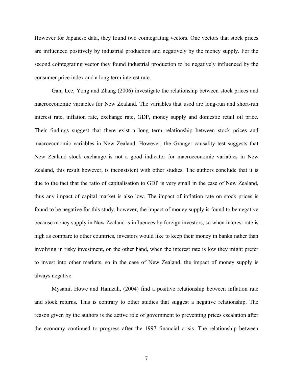However for Japanese data, they found two cointegrating vectors. One vectors that stock prices are influenced positively by industrial production and negatively by the money supply. For the second cointegrating vector they found industrial production to be negatively influenced by the consumer price index and a long term interest rate.

Gan, Lee, Yong and Zhang (2006) investigate the relationship between stock prices and macroeconomic variables for New Zealand. The variables that used are long-run and short-run interest rate, inflation rate, exchange rate, GDP, money supply and domestic retail oil price. Their findings suggest that there exist a long term relationship between stock prices and macroeconomic variables in New Zealand. However, the Granger causality test suggests that New Zealand stock exchange is not a good indicator for macroeconomic variables in New Zealand, this result however, is inconsistent with other studies. The authors conclude that it is due to the fact that the ratio of capitalisation to GDP is very small in the case of New Zealand, thus any impact of capital market is also low. The impact of inflation rate on stock prices is found to be negative for this study, however, the impact of money supply is found to be negative because money supply in New Zealand is influences by foreign investors, so when interest rate is high as compare to other countries, investors would like to keep their money in banks rather than involving in risky investment, on the other hand, when the interest rate is low they might prefer to invest into other markets, so in the case of New Zealand, the impact of money supply is always negative.

Mysami, Howe and Hamzah, (2004) find a positive relationship between inflation rate and stock returns. This is contrary to other studies that suggest a negative relationship. The reason given by the authors is the active role of government to preventing prices escalation after the economy continued to progress after the 1997 financial crisis. The relationship between

- 7 -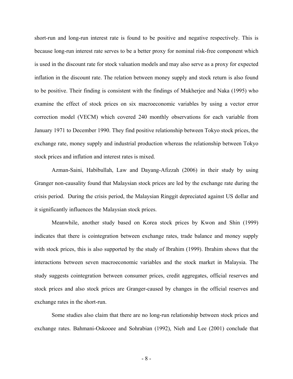short-run and long-run interest rate is found to be positive and negative respectively. This is because long-run interest rate serves to be a better proxy for nominal risk-free component which is used in the discount rate for stock valuation models and may also serve as a proxy for expected inflation in the discount rate. The relation between money supply and stock return is also found to be positive. Their finding is consistent with the findings of Mukherjee and Naka (1995) who examine the effect of stock prices on six macroeconomic variables by using a vector error correction model (VECM) which covered 240 monthly observations for each variable from January 1971 to December 1990. They find positive relationship between Tokyo stock prices, the exchange rate, money supply and industrial production whereas the relationship between Tokyo stock prices and inflation and interest rates is mixed.

Azman-Saini, Habibullah, Law and Dayang-Afizzah (2006) in their study by using Granger non-causality found that Malaysian stock prices are led by the exchange rate during the crisis period. During the crisis period, the Malaysian Ringgit depreciated against US dollar and it significantly influences the Malaysian stock prices.

Meanwhile, another study based on Korea stock prices by Kwon and Shin (1999) indicates that there is cointegration between exchange rates, trade balance and money supply with stock prices, this is also supported by the study of Ibrahim (1999). Ibrahim shows that the interactions between seven macroeconomic variables and the stock market in Malaysia. The study suggests cointegration between consumer prices, credit aggregates, official reserves and stock prices and also stock prices are Granger-caused by changes in the official reserves and exchange rates in the short-run.

Some studies also claim that there are no long-run relationship between stock prices and exchange rates. Bahmani-Oskooee and Sohrabian (1992), Nieh and Lee (2001) conclude that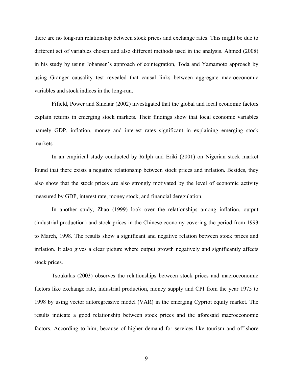there are no long-run relationship between stock prices and exchange rates. This might be due to different set of variables chosen and also different methods used in the analysis. Ahmed (2008) in his study by using Johansen`s approach of cointegration, Toda and Yamamoto approach by using Granger causality test revealed that causal links between aggregate macroeconomic variables and stock indices in the long-run.

Fifield, Power and Sinclair (2002) investigated that the global and local economic factors explain returns in emerging stock markets. Their findings show that local economic variables namely GDP, inflation, money and interest rates significant in explaining emerging stock markets

In an empirical study conducted by Ralph and Eriki (2001) on Nigerian stock market found that there exists a negative relationship between stock prices and inflation. Besides, they also show that the stock prices are also strongly motivated by the level of economic activity measured by GDP, interest rate, money stock, and financial deregulation.

In another study, Zhao (1999) look over the relationships among inflation, output (industrial production) and stock prices in the Chinese economy covering the period from 1993 to March, 1998. The results show a significant and negative relation between stock prices and inflation. It also gives a clear picture where output growth negatively and significantly affects stock prices.

Tsoukalas (2003) observes the relationships between stock prices and macroeconomic factors like exchange rate, industrial production, money supply and CPI from the year 1975 to 1998 by using vector autoregressive model (VAR) in the emerging Cypriot equity market. The results indicate a good relationship between stock prices and the aforesaid macroeconomic factors. According to him, because of higher demand for services like tourism and off-shore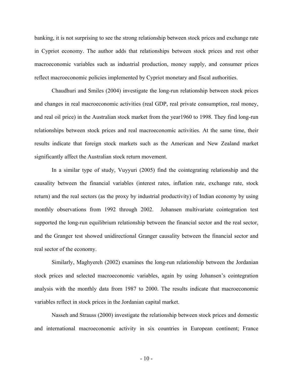banking, it is not surprising to see the strong relationship between stock prices and exchange rate in Cypriot economy. The author adds that relationships between stock prices and rest other macroeconomic variables such as industrial production, money supply, and consumer prices reflect macroeconomic policies implemented by Cypriot monetary and fiscal authorities.

Chaudhuri and Smiles (2004) investigate the long-run relationship between stock prices and changes in real macroeconomic activities (real GDP, real private consumption, real money, and real oil price) in the Australian stock market from the year1960 to 1998. They find long-run relationships between stock prices and real macroeconomic activities. At the same time, their results indicate that foreign stock markets such as the American and New Zealand market significantly affect the Australian stock return movement.

In a similar type of study, Vuyyuri (2005) find the cointegrating relationship and the causality between the financial variables (interest rates, inflation rate, exchange rate, stock return) and the real sectors (as the proxy by industrial productivity) of Indian economy by using monthly observations from 1992 through 2002. Johansen multivariate cointegration test supported the long-run equilibrium relationship between the financial sector and the real sector, and the Granger test showed unidirectional Granger causality between the financial sector and real sector of the economy.

Similarly, Maghyereh (2002) examines the long-run relationship between the Jordanian stock prices and selected macroeconomic variables, again by using Johansen's cointegration analysis with the monthly data from 1987 to 2000. The results indicate that macroeconomic variables reflect in stock prices in the Jordanian capital market.

Nasseh and Strauss (2000) investigate the relationship between stock prices and domestic and international macroeconomic activity in six countries in European continent; France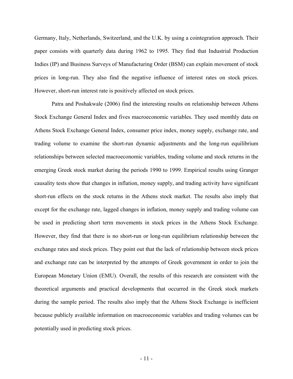Germany, Italy, Netherlands, Switzerland, and the U.K. by using a cointegration approach. Their paper consists with quarterly data during 1962 to 1995. They find that Industrial Production Indies (IP) and Business Surveys of Manufacturing Order (BSM) can explain movement of stock prices in long-run. They also find the negative influence of interest rates on stock prices. However, short-run interest rate is positively affected on stock prices.

Patra and Poshakwale (2006) find the interesting results on relationship between Athens Stock Exchange General Index and fives macroeconomic variables. They used monthly data on Athens Stock Exchange General Index, consumer price index, money supply, exchange rate, and trading volume to examine the short-run dynamic adjustments and the long-run equilibrium relationships between selected macroeconomic variables, trading volume and stock returns in the emerging Greek stock market during the periods 1990 to 1999. Empirical results using Granger causality tests show that changes in inflation, money supply, and trading activity have significant short-run effects on the stock returns in the Athens stock market. The results also imply that except for the exchange rate, lagged changes in inflation, money supply and trading volume can be used in predicting short term movements in stock prices in the Athens Stock Exchange. However, they find that there is no short-run or long-run equilibrium relationship between the exchange rates and stock prices. They point out that the lack of relationship between stock prices and exchange rate can be interpreted by the attempts of Greek government in order to join the European Monetary Union (EMU). Overall, the results of this research are consistent with the theoretical arguments and practical developments that occurred in the Greek stock markets during the sample period. The results also imply that the Athens Stock Exchange is inefficient because publicly available information on macroeconomic variables and trading volumes can be potentially used in predicting stock prices.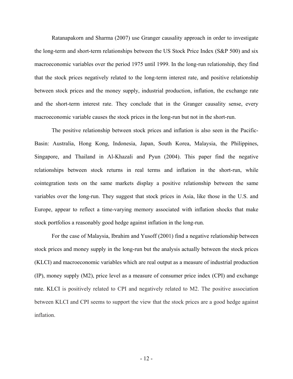Ratanapakorn and Sharma (2007) use Granger causality approach in order to investigate the long-term and short-term relationships between the US Stock Price Index (S&P 500) and six macroeconomic variables over the period 1975 until 1999. In the long-run relationship, they find that the stock prices negatively related to the long-term interest rate, and positive relationship between stock prices and the money supply, industrial production, inflation, the exchange rate and the short-term interest rate. They conclude that in the Granger causality sense, every macroeconomic variable causes the stock prices in the long-run but not in the short-run.

The positive relationship between stock prices and inflation is also seen in the Pacific-Basin: Australia, Hong Kong, Indonesia, Japan, South Korea, Malaysia, the Philippines, Singapore, and Thailand in Al-Khazali and Pyun (2004). This paper find the negative relationships between stock returns in real terms and inflation in the short-run, while cointegration tests on the same markets display a positive relationship between the same variables over the long-run. They suggest that stock prices in Asia, like those in the U.S. and Europe, appear to reflect a time-varying memory associated with inflation shocks that make stock portfolios a reasonably good hedge against inflation in the long-run.

For the case of Malaysia, Ibrahim and Yusoff (2001) find a negative relationship between stock prices and money supply in the long-run but the analysis actually between the stock prices (KLCI) and macroeconomic variables which are real output as a measure of industrial production (IP), money supply (M2), price level as a measure of consumer price index (CPI) and exchange rate. KLCI is positively related to CPI and negatively related to M2. The positive association between KLCI and CPI seems to support the view that the stock prices are a good hedge against inflation.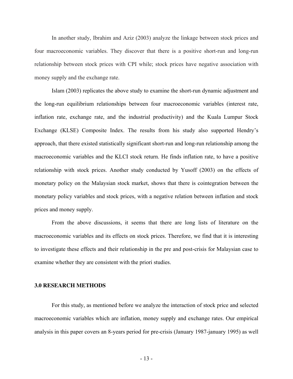In another study, Ibrahim and Aziz (2003) analyze the linkage between stock prices and four macroeconomic variables. They discover that there is a positive short-run and long-run relationship between stock prices with CPI while; stock prices have negative association with money supply and the exchange rate.

Islam (2003) replicates the above study to examine the short-run dynamic adjustment and the long-run equilibrium relationships between four macroeconomic variables (interest rate, inflation rate, exchange rate, and the industrial productivity) and the Kuala Lumpur Stock Exchange (KLSE) Composite Index. The results from his study also supported Hendry's approach, that there existed statistically significant short-run and long-run relationship among the macroeconomic variables and the KLCI stock return. He finds inflation rate, to have a positive relationship with stock prices. Another study conducted by Yusoff (2003) on the effects of monetary policy on the Malaysian stock market, shows that there is cointegration between the monetary policy variables and stock prices, with a negative relation between inflation and stock prices and money supply.

From the above discussions, it seems that there are long lists of literature on the macroeconomic variables and its effects on stock prices. Therefore, we find that it is interesting to investigate these effects and their relationship in the pre and post-crisis for Malaysian case to examine whether they are consistent with the priori studies.

#### **3.0 RESEARCH METHODS**

For this study, as mentioned before we analyze the interaction of stock price and selected macroeconomic variables which are inflation, money supply and exchange rates. Our empirical analysis in this paper covers an 8-years period for pre-crisis (January 1987-january 1995) as well

- 13 -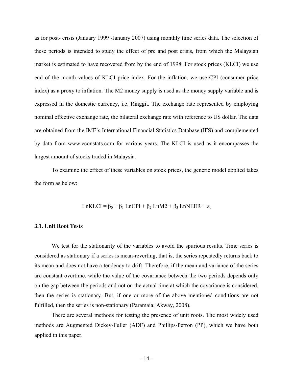as for post- crisis (January 1999 -January 2007) using monthly time series data. The selection of these periods is intended to study the effect of pre and post crisis, from which the Malaysian market is estimated to have recovered from by the end of 1998. For stock prices (KLCI) we use end of the month values of KLCI price index. For the inflation, we use CPI (consumer price index) as a proxy to inflation. The M2 money supply is used as the money supply variable and is expressed in the domestic currency, i.e. Ringgit. The exchange rate represented by employing nominal effective exchange rate, the bilateral exchange rate with reference to US dollar. The data are obtained from the IMF's International Financial Statistics Database (IFS) and complemented by data from www.econstats.com for various years. The KLCI is used as it encompasses the largest amount of stocks traded in Malaysia.

To examine the effect of these variables on stock prices, the generic model applied takes the form as below:

$$
LnKLCI = \beta_0 + \beta_1 LnCPI + \beta_2 LnM2 + \beta_3 LnNEER + \epsilon_t
$$

#### **3.1. Unit Root Tests**

We test for the stationarity of the variables to avoid the spurious results. Time series is considered as stationary if a series is mean-reverting, that is, the series repeatedly returns back to its mean and does not have a tendency to drift. Therefore, if the mean and variance of the series are constant overtime, while the value of the covariance between the two periods depends only on the gap between the periods and not on the actual time at which the covariance is considered, then the series is stationary. But, if one or more of the above mentioned conditions are not fulfilled, then the series is non-stationary (Paramaia; Akway, 2008).

There are several methods for testing the presence of unit roots. The most widely used methods are Augmented Dickey-Fuller (ADF) and Phillips-Perron (PP), which we have both applied in this paper.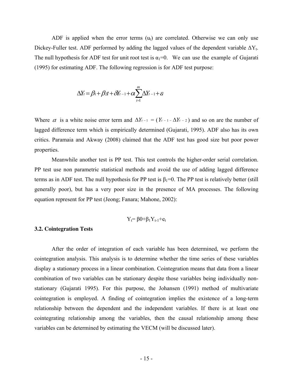ADF is applied when the error terms  $(u_t)$  are correlated. Otherwise we can only use Dickey-Fuller test. ADF performed by adding the lagged values of the dependent variable  $\Delta Y_t$ . The null hypothesis for ADF test for unit root test is  $\alpha_1=0$ . We can use the example of Gujarati (1995) for estimating ADF. The following regression is for ADF test purpose:

$$
\Delta Y_t = \beta_1 + \beta_2 t + \delta Y_{t-1} + \alpha \sum_{i=1}^m \Delta Y_{t-1} + \varepsilon
$$

Where  $\varepsilon t$  is a white noise error term and  $\Delta Y_{t-1} = (Y_{t-1} - \Delta Y_{t-2})$  and so on are the number of lagged difference term which is empirically determined (Gujarati, 1995). ADF also has its own critics. Paramaia and Akway (2008) claimed that the ADF test has good size but poor power properties.

Meanwhile another test is PP test. This test controls the higher-order serial correlation. PP test use non parametric statistical methods and avoid the use of adding lagged difference terms as in ADF test. The null hypothesis for PP test is  $\beta_1=0$ . The PP test is relatively better (still generally poor), but has a very poor size in the presence of MA processes. The following equation represent for PP test (Jeong; Fanara; Mahone, 2002):

$$
Y_t = \beta 0 + \beta_1 Y_{t-1} + e_t
$$

#### **3.2. Cointegration Tests**

After the order of integration of each variable has been determined, we perform the cointegration analysis. This analysis is to determine whether the time series of these variables display a stationary process in a linear combination. Cointegration means that data from a linear combination of two variables can be stationary despite those variables being individually nonstationary (Gujarati 1995). For this purpose, the Johansen (1991) method of multivariate cointegration is employed. A finding of cointegration implies the existence of a long-term relationship between the dependent and the independent variables. If there is at least one cointegrating relationship among the variables, then the causal relationship among these variables can be determined by estimating the VECM (will be discussed later).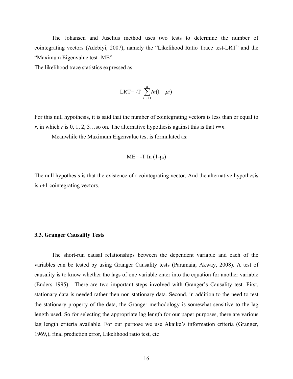The Johansen and Juselius method uses two tests to determine the number of cointegrating vectors (Adebiyi, 2007), namely the "Likelihood Ratio Trace test-LRT" and the "Maximum Eigenvalue test- ME".

The likelihood trace statistics expressed as:

LRT=
$$
-T
$$
  $\sum_{i=i+1}^{n} In(1-\mu i)$ 

For this null hypothesis, it is said that the number of cointegrating vectors is less than or equal to *r*, in which *r* is 0, 1, 2, 3...so on. The alternative hypothesis against this is that  $r=n$ .

Meanwhile the Maximum Eigenvalue test is formulated as:

$$
ME = -T \ln (1-\mu_r)
$$

The null hypothesis is that the existence of r cointegrating vector. And the alternative hypothesis is *r*+1 cointegrating vectors.

#### **3.3. Granger Causality Tests**

The short-run causal relationships between the dependent variable and each of the variables can be tested by using Granger Causality tests (Paramaia; Akway, 2008). A test of causality is to know whether the lags of one variable enter into the equation for another variable (Enders 1995). There are two important steps involved with Granger's Causality test. First, stationary data is needed rather then non stationary data. Second, in addition to the need to test the stationary property of the data, the Granger methodology is somewhat sensitive to the lag length used. So for selecting the appropriate lag length for our paper purposes, there are various lag length criteria available. For our purpose we use Akaike's information criteria (Granger, 1969,), final prediction error, Likelihood ratio test, etc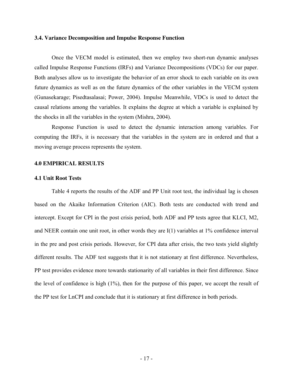#### **3.4. Variance Decomposition and Impulse Response Function**

Once the VECM model is estimated, then we employ two short-run dynamic analyses called Impulse Response Functions **(**IRFs) and Variance Decompositions (VDCs) for our paper. Both analyses allow us to investigate the behavior of an error shock to each variable on its own future dynamics as well as on the future dynamics of the other variables in the VECM system (Gunasekarage; Pisedtasalasai; Power, 2004). Impulse Meanwhile, VDCs is used to detect the causal relations among the variables. It explains the degree at which a variable is explained by the shocks in all the variables in the system (Mishra, 2004).

Response Function is used to detect the dynamic interaction among variables. For computing the IRFs, it is necessary that the variables in the system are in ordered and that a moving average process represents the system.

#### **4.0 EMPIRICAL RESULTS**

#### **4.1 Unit Root Tests**

Table 4 reports the results of the ADF and PP Unit root test, the individual lag is chosen based on the Akaike Information Criterion (AIC). Both tests are conducted with trend and intercept. Except for CPI in the post crisis period, both ADF and PP tests agree that KLCI, M2, and NEER contain one unit root, in other words they are I(1) variables at 1% confidence interval in the pre and post crisis periods. However, for CPI data after crisis, the two tests yield slightly different results. The ADF test suggests that it is not stationary at first difference. Nevertheless, PP test provides evidence more towards stationarity of all variables in their first difference. Since the level of confidence is high (1%), then for the purpose of this paper, we accept the result of the PP test for LnCPI and conclude that it is stationary at first difference in both periods.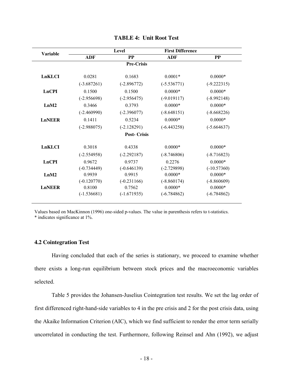| <b>Variable</b> |               | Level              | <b>First Difference</b> |               |
|-----------------|---------------|--------------------|-------------------------|---------------|
|                 | <b>ADF</b>    | <b>PP</b>          | <b>ADF</b>              | PP            |
|                 |               | <b>Pre-Crisis</b>  |                         |               |
| LnKLCI          | 0.0281        | 0.1683             | $0.0001*$               | $0.0000*$     |
|                 | $(-3.687261)$ | $(-2.896772)$      | $(-5.536771)$           | $(-9.222315)$ |
| <b>LnCPI</b>    | 0.1500        | 0.1500             | $0.0000*$               | $0.0000*$     |
|                 | $(-2.956698)$ | $(-2.956475)$      | $(-9.019117)$           | $(-8.992148)$ |
| LnM2            | 0.3466        | 0.3793             | $0.0000*$               | $0.0000*$     |
|                 | $(-2.460990)$ | $(-2.396077)$      | $(-8.648151)$           | $(-8.668226)$ |
| <b>LnNEER</b>   | 0.1411        | 0.5234             | $0.0000*$               | $0.0000*$     |
|                 | $(-2.988075)$ | $(-2.128291)$      | $(-6.443258)$           | $(-5.664637)$ |
|                 |               | <b>Post-Crisis</b> |                         |               |
| LnKLCI          | 0.3018        | 0.4338             | $0.0000*$               | $0.0000*$     |
|                 | $(-2.554958)$ | $(-2.292187)$      | $(-8.746806)$           | $(-8.716823)$ |
| <b>LnCPI</b>    | 0.9672        | 0.9737             | 0.2276                  | $0.0000*$     |
|                 | $(-0.734449)$ | $(-0.646139)$      | $(-2.729898)$           | $(-10.57360)$ |
| LnM2            | 0.9939        | 0.9915             | $0.0000*$               | $0.0000*$     |
|                 | $(-0.120770)$ | $(-0.231166)$      | $(-8.860174)$           | $(-8.860609)$ |
| <b>LnNEER</b>   | 0.8100        | 0.7562             | $0.0000*$               | $0.0000*$     |
|                 | $(-1.536681)$ | $(-1.671935)$      | $(-6.784862)$           | $(-6.784862)$ |

#### **TABLE 4: Unit Root Test**

Values based on MacKinnon (1996) one-sided p-values. The value in parenthesis refers to t-statistics. \* indicates significance at 1%.

# **4.2 Cointegration Test**

Having concluded that each of the series is stationary, we proceed to examine whether there exists a long-run equilibrium between stock prices and the macroeconomic variables selected.

Table 5 provides the Johansen-Juselius Cointegration test results. We set the lag order of first differenced right-hand-side variables to 4 in the pre crisis and 2 for the post crisis data, using the Akaike Information Criterion (AIC), which we find sufficient to render the error term serially uncorrelated in conducting the test. Furthermore, following Reinsel and Ahn (1992), we adjust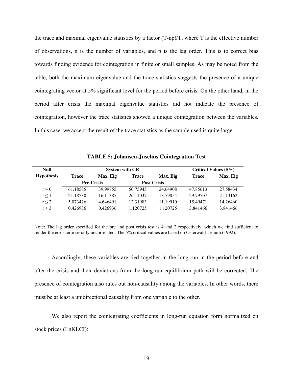the trace and maximal eigenvalue statistics by a factor  $(T-np)/T$ , where T is the effective number of observations, n is the number of variables, and p is the lag order. This is to correct bias towards finding evidence for cointegration in finite or small samples. As may be noted from the table, both the maximum eigenvalue and the trace statistics suggests the presence of a unique cointegrating vector at 5% significant level for the period before crisis. On the other hand, in the period after crisis the maximal eigenvalue statistics did not indicate the presence of cointegration, however the trace statistics showed a unique cointegration between the variables. In this case, we accept the result of the trace statistics as the sample used is quite large.

| Null              |                   | <b>System with CR</b> | Critical Values $(5\%)$ |                    |              |          |
|-------------------|-------------------|-----------------------|-------------------------|--------------------|--------------|----------|
| <b>Hypothesis</b> | Trace             | Max. Eig              | <b>Trace</b>            | Max. Eig           | <b>Trace</b> | Max. Eig |
|                   | <b>Pre-Crisis</b> |                       |                         | <b>Post Crisis</b> |              |          |
| $r = 0$           | 61.18585          | 39.99855              | 50 75945                | 24.64908           | 47.85613     | 27.58434 |
| r < 1             | 21.18730          | 16.11387              | 26.11037                | 13.79054           | 29.79707     | 21.13162 |
| r < 2             | 5.073426          | 4.646491              | 12.31983                | 11.19910           | 15.49471     | 14.26460 |
| r < 3             | 0.426936          | 0.426936              | 1 1 2 0 7 2 5           | 1.120725           | 3.841466     | 3.841466 |

**TABLE 5: Johansen-Juselius Cointegration Test** 

Note: The lag order specified for the pre and post crisis test is 4 and 2 respectively, which we find sufficient to render the error term serially uncorrelated. The 5% critical values are based on Osterwald-Lenum (1992).

Accordingly, these variables are tied together in the long-run in the period before and after the crisis and their deviations from the long-run equilibrium path will be corrected. The presence of cointegration also rules out non-causality among the variables. In other words, there must be at least a unidirectional causality from one variable to the other.

We also report the cointegrating coefficients in long-run equation form normalized on stock prices (LnKLCI):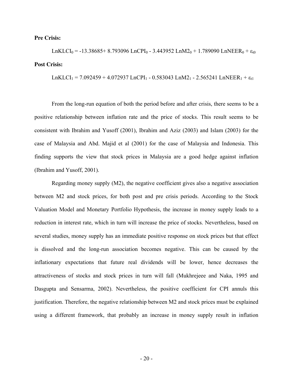#### **Pre Crisis:**

LnKLCI<sub>0</sub> = -13.38685+ 8.793096 LnCPI<sub>0</sub> - 3.443952 LnM2<sub>0</sub> + 1.789090 LnNEER<sub>0</sub> +  $\varepsilon_{t0}$ **Post Crisis:**

LnKLCI<sub>1</sub> = 7.092459 + 4.072937 LnCPI<sub>1</sub> - 0.583043 LnM2<sub>1</sub> - 2.565241 LnNEER<sub>1</sub> +  $\varepsilon$ <sub>t1</sub>

From the long-run equation of both the period before and after crisis, there seems to be a positive relationship between inflation rate and the price of stocks. This result seems to be consistent with Ibrahim and Yusoff (2001), Ibrahim and Aziz (2003) and Islam (2003) for the case of Malaysia and Abd. Majid et al (2001) for the case of Malaysia and Indonesia. This finding supports the view that stock prices in Malaysia are a good hedge against inflation (Ibrahim and Yusoff, 2001).

Regarding money supply (M2), the negative coefficient gives also a negative association between M2 and stock prices, for both post and pre crisis periods. According to the Stock Valuation Model and Monetary Portfolio Hypothesis, the increase in money supply leads to a reduction in interest rate, which in turn will increase the price of stocks. Nevertheless, based on several studies, money supply has an immediate positive response on stock prices but that effect is dissolved and the long-run association becomes negative. This can be caused by the inflationary expectations that future real dividends will be lower, hence decreases the attractiveness of stocks and stock prices in turn will fall (Mukhrejeee and Naka, 1995 and Dasgupta and Sensarma, 2002). Nevertheless, the positive coefficient for CPI annuls this justification. Therefore, the negative relationship between M2 and stock prices must be explained using a different framework, that probably an increase in money supply result in inflation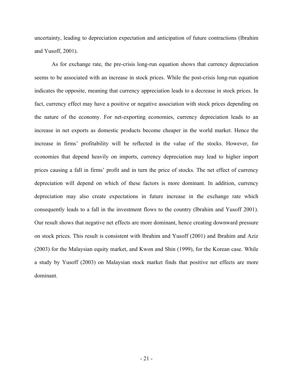uncertainty, leading to depreciation expectation and anticipation of future contractions (Ibrahim and Yusoff, 2001).

As for exchange rate, the pre-crisis long-run equation shows that currency depreciation seems to be associated with an increase in stock prices. While the post-crisis long-run equation indicates the opposite, meaning that currency appreciation leads to a decrease in stock prices. In fact, currency effect may have a positive or negative association with stock prices depending on the nature of the economy. For net-exporting economies, currency depreciation leads to an increase in net exports as domestic products become cheaper in the world market. Hence the increase in firms' profitability will be reflected in the value of the stocks. However, for economies that depend heavily on imports, currency depreciation may lead to higher import prices causing a fall in firms' profit and in turn the price of stocks. The net effect of currency depreciation will depend on which of these factors is more dominant. In addition, currency depreciation may also create expectations in future increase in the exchange rate which consequently leads to a fall in the investment flows to the country (Ibrahim and Yusoff 2001). Our result shows that negative net effects are more dominant, hence creating downward pressure on stock prices. This result is consistent with Ibrahim and Yusoff (2001) and Ibrahim and Aziz (2003) for the Malaysian equity market, and Kwon and Shin (1999), for the Korean case. While a study by Yusoff (2003) on Malaysian stock market finds that positive net effects are more dominant.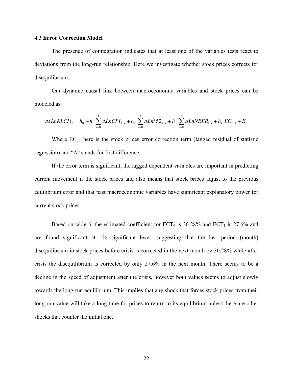#### **4.3 Error Correction Model**

The presence of cointegration indicates that at least one of the variables tests react to deviations from the long-run relationship. Here we investigate whether stock prices corrects for disequilibrium.

Our dynamic causal link between macroeconomic variables and stock prices can be modeled as:

$$
\Delta(LnKLCI)_t = h_0 + h_{1i} \sum_{i=0}^{1} \Delta LnCPI_{t-i} + h_{2i} \sum_{i=0}^{1} \Delta LnM2_{t-i} + h_{3i} \sum_{i=0}^{1} \Delta LnNEER_{t-i} + h_{4i}EC_{t-1} + E_t
$$

Where  $EC_{t-1}$  here is the stock prices error correction term (lagged residual of statistic regression) and "∆" stands for first difference.

If the error term is significant, the lagged dependent variables are important in predicting current movement if the stock prices and also means that stock prices adjust to the previous equilibrium error and that past macroeconomic variables have significant explanatory power for current stock prices.

Based on table 6, the estimated coefficient for  $ECT_0$  is 30.28% and  $ECT_1$  is 27.6% and are found significant at 1% significant level, suggesting that the last period (month) disequilibrium in stock prices before crisis is corrected in the next month by 30.28% while after crisis the disequilibrium is corrected by only 27.6% in the next month. There seems to be a decline in the speed of adjustment after the crisis, however both values seems to adjust slowly towards the long-run equilibrium. This implies that any shock that forces stock prices from their long-run value will take a long time for prices to return to its equilibrium unless there are other shocks that counter the initial one.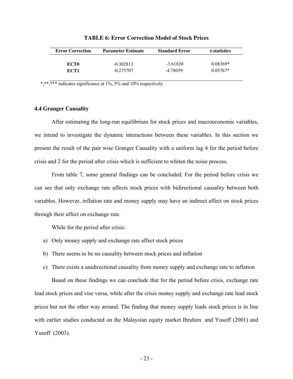| <b>Error Correction</b> | <b>Parameter Estimate</b> | <b>Standard Error</b> | t-statistics |
|-------------------------|---------------------------|-----------------------|--------------|
| ECT <sub>0</sub>        | $-0.302813$               | $-3.61830$            | $0.08369*$   |
| ECT1                    | $-0.275707$               | -4.78059              | $0.05767*$   |

|  |  |  |  | <b>TABLE 6: Error Correction Model of Stock Prices</b> |  |  |  |  |
|--|--|--|--|--------------------------------------------------------|--|--|--|--|
|--|--|--|--|--------------------------------------------------------|--|--|--|--|

\*,\*\*,\*\*\*\* indicates significance at 1%, 5% and 10% respectively

#### **4.4 Granger Causality**

After estimating the long-run equilibrium for stock prices and macroeconomic variables, we intend to investigate the dynamic interactions between these variables. In this section we present the result of the pair wise Granger Causality with a uniform lag 4 for the period before crisis and 2 for the period after crisis which is sufficient to whiten the noise process.

From table 7, some general findings can be concluded. For the period before crisis we can see that only exchange rate affects stock prices with bidirectional causality between both variables. However, inflation rate and money supply may have an indirect affect on stock prices through their affect on exchange rate.

While for the period after crisis:

- a) Only money supply and exchange rate affect stock prices
- b) There seems to be no causality between stock prices and inflation
- c) There exists a unidirectional causality from money supply and exchange rate to inflation

Based on these findings we can conclude that for the period before crisis, exchange rate lead stock prices and vise versa, while after the crisis money supply and exchange rate lead stock prices but not the other way around. The finding that money supply leads stock prices is in line with earlier studies conducted on the Malaysian equity market Ibrahim and Yusoff (2001) and Yusoff (2003).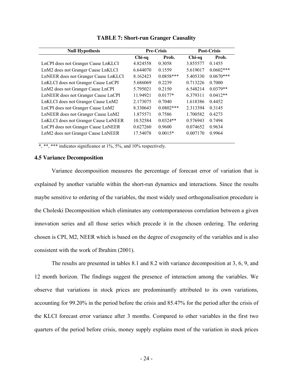| <b>Null Hypothesis</b>               |          | <b>Pre-Crisis</b> | <b>Post-Crisis</b> |              |
|--------------------------------------|----------|-------------------|--------------------|--------------|
|                                      | Chi-sq   | Prob.             | Chi-sq             | Prob.        |
| LnCPI does not Granger Cause LnKLCI  | 4.824558 | 0.3058            | 3.855577           | 0.1455       |
| LnM2 does not Granger Cause LnKLCI   | 6.644070 | 0.1559            | 5.619017           | $0.0602$ *** |
| LnNEER does not Granger Cause LnKLCI | 8.162423 | $0.0858***$       | 5.405330           | $0.0670***$  |
| LnKLCI does not Granger Cause LnCPI  | 5.686069 | 0.2239            | 0.713226           | 0.7000       |
| LnM2 does not Granger Cause LnCPI    | 5.795021 | 0.2150            | 6.548214           | $0.0379**$   |
| LnNEER does not Granger Cause LnCPI  | 11.94921 | $0.0177*$         | 6.379311           | $0.0412**$   |
| LnKLCI does not Granger Cause LnM2   | 2.173075 | 0.7040            | 1.618386           | 0.4452       |
| LnCPI does not Granger Cause LnM2    | 8.330643 | $0.0802***$       | 2.313394           | 0.3145       |
| LnNEER does not Granger Cause LnM2   | 1.875571 | 0.7586            | 1.700582           | 0.4273       |
| LnKLCI does not Granger Cause LnNEER | 10.52584 | $0.0324**$        | 0.576943           | 0.7494       |
| LnCPI does not Granger Cause LnNEER  | 0.627260 | 0.9600            | 0.074652           | 0.9634       |
| LnM2 does not Granger Cause LnNEER   | 17.54078 | $0.0015*$         | 0.007170           | 0.9964       |
|                                      |          |                   |                    |              |

**TABLE 7: Short-run Granger Causality** 

\*, \*\*\* indicates significance at 1%, 5%, and 10% respectively.

#### **4.5 Variance Decomposition**

Variance decomposition measures the percentage of forecast error of variation that is explained by another variable within the short-run dynamics and interactions. Since the results maybe sensitive to ordering of the variables, the most widely used orthogonalisation procedure is the Choleski Decomposition which eliminates any contemporaneous correlation between a given innovation series and all those series which precede it in the chosen ordering. The ordering chosen is CPI, M2, NEER which is based on the degree of exogeneity of the variables and is also consistent with the work of Ibrahim (2001).

The results are presented in tables 8.1 and 8.2 with variance decomposition at 3, 6, 9, and 12 month horizon. The findings suggest the presence of interaction among the variables. We observe that variations in stock prices are predominantly attributed to its own variations, accounting for 99.20% in the period before the crisis and 85.47% for the period after the crisis of the KLCI forecast error variance after 3 months. Compared to other variables in the first two quarters of the period before crisis, money supply explains most of the variation in stock prices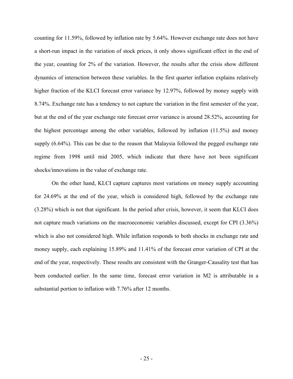counting for 11.59%, followed by inflation rate by 5.64%. However exchange rate does not have a short-run impact in the variation of stock prices, it only shows significant effect in the end of the year, counting for 2% of the variation. However, the results after the crisis show different dynamics of interaction between these variables. In the first quarter inflation explains relatively higher fraction of the KLCI forecast error variance by 12.97%, followed by money supply with 8.74%. Exchange rate has a tendency to not capture the variation in the first semester of the year, but at the end of the year exchange rate forecast error variance is around 28.52%, accounting for the highest percentage among the other variables, followed by inflation (11.5%) and money supply (6.64%). This can be due to the reason that Malaysia followed the pegged exchange rate regime from 1998 until mid 2005, which indicate that there have not been significant shocks/innovations in the value of exchange rate.

On the other hand, KLCI capture captures most variations on money supply accounting for 24.69% at the end of the year, which is considered high, followed by the exchange rate (3.28%) which is not that significant. In the period after crisis, however, it seem that KLCI does not capture much variations on the macroeconomic variables discussed, except for CPI (3.36%) which is also not considered high. While inflation responds to both shocks in exchange rate and money supply, each explaining 15.89% and 11.41% of the forecast error variation of CPI at the end of the year, respectively. These results are consistent with the Granger-Causality test that has been conducted earlier. In the same time, forecast error variation in M2 is attributable in a substantial portion to inflation with 7.76% after 12 months.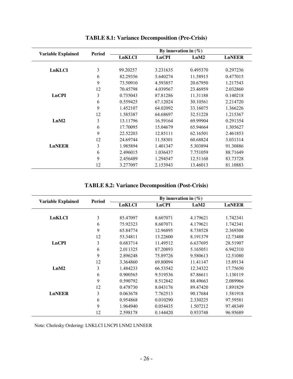|                           | Period | By innovation in $(\%)$ |              |          |               |  |
|---------------------------|--------|-------------------------|--------------|----------|---------------|--|
| <b>Variable Explained</b> |        | LnKLCI                  | <b>LnCPI</b> | LnM2     | <b>LnNEER</b> |  |
|                           |        |                         |              |          |               |  |
| LnKLCI                    | 3      | 99.20257                | 3.231635     | 0.495370 | 0.297236      |  |
|                           | 6      | 82.29356                | 5.640274     | 11.58915 | 0.477015      |  |
|                           | 9      | 73.50910                | 4.593857     | 20.67950 | 1.217543      |  |
|                           | 12     | 70.45798                | 4.039567     | 23.46959 | 2.032860      |  |
| <b>LnCPI</b>              | 3      | 0.735043                | 87.81286     | 11.31188 | 0.140218      |  |
|                           | 6      | 0.559425                | 67.12024     | 30.10561 | 2.214720      |  |
|                           | 9      | 1.452107                | 64.02092     | 33.16075 | 1.366226      |  |
|                           | 12     | 1.585387                | 64.68697     | 32.51228 | 1.215367      |  |
| LnM2                      | 3      | 13.11796                | 16.59164     | 69.99904 | 0.291354      |  |
|                           | 6      | 17.70095                | 15.04679     | 65.94664 | 1.305627      |  |
|                           | 9      | 22.52203                | 12.85111     | 62.16501 | 2.461853      |  |
|                           | 12     | 24.69744                | 11.58301     | 60.68824 | 3.031314      |  |
| <b>LnNEER</b>             | 3      | 1.985894                | 1.401347     | 5.303894 | 91.30886      |  |
|                           | 6      | 2.496015                | 1.036437     | 7.751059 | 88.71649      |  |
|                           | 9      | 2.456489                | 1.294547     | 12.51168 | 83.73728      |  |
|                           | 12     | 3.277097                | 2.153943     | 13.46013 | 81.10883      |  |

# **TABLE 8.1: Variance Decomposition (Pre-Crisis)**

**TABLE 8.2: Variance Decomposition (Post-Crisis)** 

| <b>Variable Explained</b> | Period | By innovation in $(\%)$ |              |          |               |
|---------------------------|--------|-------------------------|--------------|----------|---------------|
|                           |        | LnKLCI                  | <b>LnCPI</b> | LnM2     | <b>LnNEER</b> |
|                           |        |                         |              |          |               |
| LnKLCI                    | 3      | 85.47097                | 8.607071     | 4.179621 | 1.742341      |
|                           | 6      | 75.92323                | 8.607071     | 4.179621 | 1.742341      |
|                           | 9      | 65.84774                | 12.96895     | 8.738528 | 2.369300      |
|                           | 12     | 53.34811                | 13.22600     | 8.191379 | 12.73488      |
| LnCPI                     | 3      | 0.683714                | 11.49512     | 6.637695 | 28.51907      |
|                           | 6      | 2.011325                | 87.20893     | 5.165051 | 6.942310      |
|                           | 9      | 2.896248                | 75.89726     | 9.580613 | 12.51080      |
|                           | 12     | 3.364860                | 69.80094     | 11.41147 | 15.89134      |
| LnM2                      | 3      | 1.484233                | 66.53542     | 12.34322 | 17.75650      |
|                           | 6      | 0.900565                | 9.519536     | 87.86611 | 1.130119      |
|                           | 9      | 0.590792                | 8.512842     | 88.49663 | 2.089966      |
|                           | 12     | 0.478730                | 8.043176     | 89.47420 | 1.891829      |
| <b>LnNEER</b>             | 3      | 0.063678                | 7.762513     | 90.17684 | 1.581918      |
|                           | 6      | 0.954868                | 0.010290     | 2.330225 | 97.59581      |
|                           | 9      | 1.964940                | 0.054435     | 1.507212 | 97.48349      |
|                           | 12     | 2.598178                | 0.144420     | 0.933748 | 96.95689      |

Note: Cholesky Ordering: LNKLCI LNCPI LNM2 LNNEER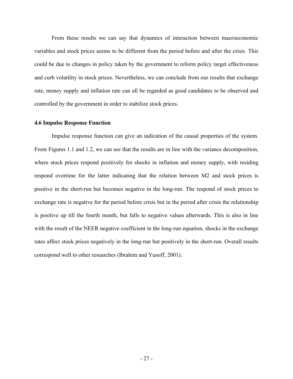From these results we can say that dynamics of interaction between macroeconomic variables and stock prices seems to be different from the period before and after the crisis. This could be due to changes in policy taken by the government to reform policy target effectiveness and curb volatility in stock prices. Nevertheless, we can conclude from our results that exchange rate, money supply and inflation rate can all be regarded as good candidates to be observed and controlled by the government in order to stabilize stock prices.

#### **4.6 Impulse Response Function**

Impulse response function can give an indication of the causal properties of the system. From Figures 1.1 and 1.2, we can see that the results are in line with the variance decomposition, where stock prices respond positively for shocks in inflation and money supply, with residing respond overtime for the latter indicating that the relation between M2 and stock prices is positive in the short-run but becomes negative in the long-run. The respond of stock prices to exchange rate is negative for the period before crisis but in the period after crisis the relationship is positive up till the fourth month, but falls to negative values afterwards. This is also in line with the result of the NEER negative coefficient in the long-run equation, shocks in the exchange rates affect stock prices negatively in the long-run but positively in the short-run. Overall results correspond well to other researches (Ibrahim and Yusoff, 2001).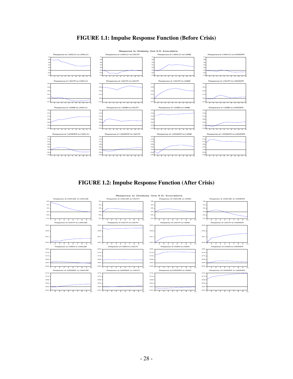

# **FIGURE 1.1: Impulse Response Function (Before Crisis)**



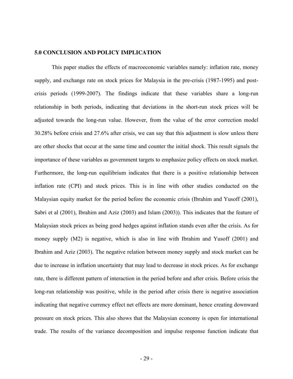### **5.0 CONCLUSION AND POLICY IMPLICATION**

This paper studies the effects of macroeconomic variables namely: inflation rate, money supply, and exchange rate on stock prices for Malaysia in the pre-crisis (1987-1995) and postcrisis periods (1999-2007). The findings indicate that these variables share a long-run relationship in both periods, indicating that deviations in the short-run stock prices will be adjusted towards the long-run value. However, from the value of the error correction model 30.28% before crisis and 27.6% after crisis, we can say that this adjustment is slow unless there are other shocks that occur at the same time and counter the initial shock. This result signals the importance of these variables as government targets to emphasize policy effects on stock market. Furthermore, the long-run equilibrium indicates that there is a positive relationship between inflation rate (CPI) and stock prices. This is in line with other studies conducted on the Malaysian equity market for the period before the economic crisis (Ibrahim and Yusoff (2001), Sabri et al (2001), Ibrahim and Aziz (2003) and Islam (2003)). This indicates that the feature of Malaysian stock prices as being good hedges against inflation stands even after the crisis. As for money supply (M2) is negative, which is also in line with Ibrahim and Yusoff (2001) and Ibrahim and Aziz (2003). The negative relation between money supply and stock market can be due to increase in inflation uncertainty that may lead to decrease in stock prices. As for exchange rate, there is different pattern of interaction in the period before and after crisis. Before crisis the long-run relationship was positive, while in the period after crisis there is negative association indicating that negative currency effect net effects are more dominant, hence creating downward pressure on stock prices. This also shows that the Malaysian economy is open for international trade. The results of the variance decomposition and impulse response function indicate that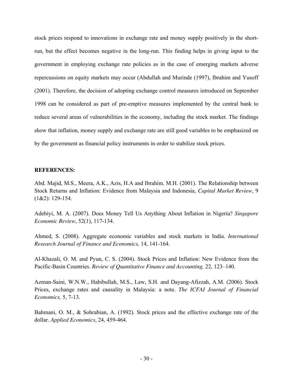stock prices respond to innovations in exchange rate and money supply positively in the shortrun, but the effect becomes negative in the long-run. This finding helps in giving input to the government in employing exchange rate policies as in the case of emerging markets adverse repercussions on equity markets may occur (Abdullah and Murinde (1997), Ibrahim and Yusoff (2001). Therefore, the decision of adopting exchange control measures introduced on September 1998 can be considered as part of pre-emptive measures implemented by the central bank to reduce several areas of vulnerabilities in the economy, including the stock market. The findings show that inflation, money supply and exchange rate are still good variables to be emphasized on by the government as financial policy instruments in order to stabilize stock prices.

## **REFERENCES:**

Abd. Majid, M.S., Meera, A.K., Azis, H.A and Ibrahim. M.H. (2001). The Relationship between Stock Returns and Inflation: Evidence from Malaysia and Indonesia, *Capital Market Review*, 9 (1&2): 129-154.

Adebiyi, M. A. (2007). Does Money Tell Us Anything About Inflation in Nigeria? *Singapore Economic Review*, 52(1), 117-134.

Ahmed, S. (2008). Aggregate economic variables and stock markets in India. *International Research Journal of Finance and Economics,* 14, 141-164.

Al-Khazali, O. M. and Pyun, C. S. (2004). Stock Prices and Inflation: New Evidence from the Pacific-Basin Countries. *Review of Quantitative Finance and Accounting,* 22, 123–140.

Azman-Saini, W.N.W., Habibullah, M.S., Law, S.H. and Dayang-Afizzah, A.M. (2006). Stock Prices, exchange rates and causality in Malaysia: a note. *The ICFAI Journal of Financial Economics,* 5, 7-13.

Bahmani, O. M., & Sohrabian, A. (1992). Stock prices and the effective exchange rate of the dollar. *Applied Economics*, 24, 459-464.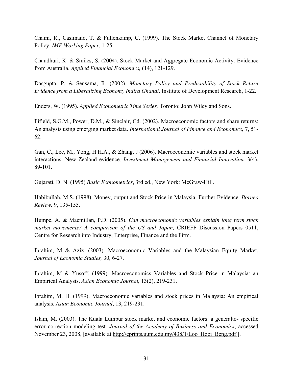Chami, R., Casimano, T. & Fullenkamp, C. (1999). The Stock Market Channel of Monetary Policy. *IMF Working Paper*, 1-25.

Chaudhuri, K. & Smiles, S. (2004). Stock Market and Aggregate Economic Activity: Evidence from Australia. *Applied Financial Economics,* (14), 121-129.

Dasgupta, P. & Sensama, R. (2002). *Monetary Policy and Predictability of Stock Return Evidence from a Liberalizing Economy Indira Ghandi*. Institute of Development Research, 1-22.

Enders, W. (1995). *Applied Econometric Time Series,* Toronto: John Wiley and Sons.

Fifield, S.G.M., Power, D.M., & Sinclair, Cd. (2002). Macroeconomic factors and share returns: An analysis using emerging market data. *International Journal of Finance and Economics,* 7, 51- 62.

Gan, C., Lee, M., Yong, H.H.A., & Zhang, J (2006). Macroeconomic variables and stock market interactions: New Zealand evidence. *Investment Management and Financial Innovation,* 3(4), 89-101.

Gujarati, D. N. (1995) *Basic Econometrics*, 3rd ed., New York: McGraw-Hill.

Habibullah, M.S. (1998). Money, output and Stock Price in Malaysia: Further Evidence. *Borneo Review,* 9, 135-155.

Humpe, A. & Macmillan, P.D. (2005). *Can macroeconomic variables explain long term stock market movements? A comparison of the US and Japan,* CRIEFF Discussion Papers 0511, Centre for Research into Industry, Enterprise, Finance and the Firm.

Ibrahim, M & Aziz. (2003). Macroeconomic Variables and the Malaysian Equity Market. *Journal of Economic Studies,* 30, 6-27.

Ibrahim, M & Yusoff. (1999). Macroeconomics Variables and Stock Price in Malaysia: an Empirical Analysis. *Asian Economic Journal,* 13(2), 219-231.

Ibrahim, M. H. (1999). Macroeconomic variables and stock prices in Malaysia: An empirical analysis. *Asian Economic Journal*, 13, 219-231.

Islam, M. (2003). The Kuala Lumpur stock market and economic factors: a generalto- specific error correction modeling test. *Journal of the Academy of Business and Economics*, accessed November 23, 2008, [available at http://eprints.uum.edu.my/438/1/Loo\_Hooi\_Beng.pdf ].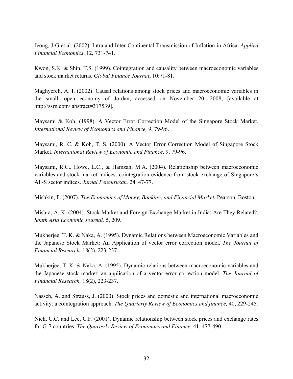Jeong, J-G et al. (2002). Intra and Inter-Continental Transmission of Inflation in Africa. *Applied Financial Economics*, 12, 731-741.

Kwon, S.K. & Shin, T.S. (1999). Cointegration and causality between macroeconomic variables and stock market returns. *Global Finance Journal*, 10:71-81.

Maghyereh, A. I. (2002). Causal relations among stock prices and macroeconomic variables in the small, open economy of Jordan, accessed on November 20, 2008, [available at http://ssrn.com/ abstract=317539].

Maysami & Koh. (1998). A Vector Error Correction Model of the Singapore Stock Market. *International Review of Economics and Finance,* 9, 79-96.

Maysami, R. C. & Koh, T. S. (2000). A Vector Error Correction Model of Singapore Stock Market. *International Review of Economic and Finance*, 9, 79-96.

Maysami, R.C., Howe, L.C., & Hamzah, M.A. (2004). Relationship between macroeconomic variables and stock market indices: cointegration evidence from stock exchange of Singapore's All-S sector indices. *Jurnal Pengurusan,* 24, 47-77.

Mishkin, F. (2007). *The Economics of Money, Banking, and Financial Market.* Pearson, Boston

Mishra, A. K. (2004). Stock Market and Foreign Exchange Market in India: Are They Related?. *South Asia Economic Journal,* 5, 209.

Mukherjee, T. K. & Naka, A. (1995). Dynamic Relations between Macroeconomic Variables and the Japanese Stock Market: An Application of vector error correction model. *The Journal of Financial Research,* 18(2), 223-237.

Mukherjee, T. K. & Naka, A. (1995). Dynamic relations between macroeconomic variables and the Japanese stock market: an application of a vector error correction model. *The Journal of Financial Research,* 18(2), 223-237.

Nasseh, A. and Strauss, J. (2000). Stock prices and domestic and international macroeconomic activity: a cointegration approach. *The Quarterly Review of Economics and finance,* 40, 229-245.

Nieh, C.C. and Lee, C.F. (2001). Dynamic relationship between stock prices and exchange rates for G-7 countries. *The Quarterly Review of Economics and Finance,* 41, 477-490.